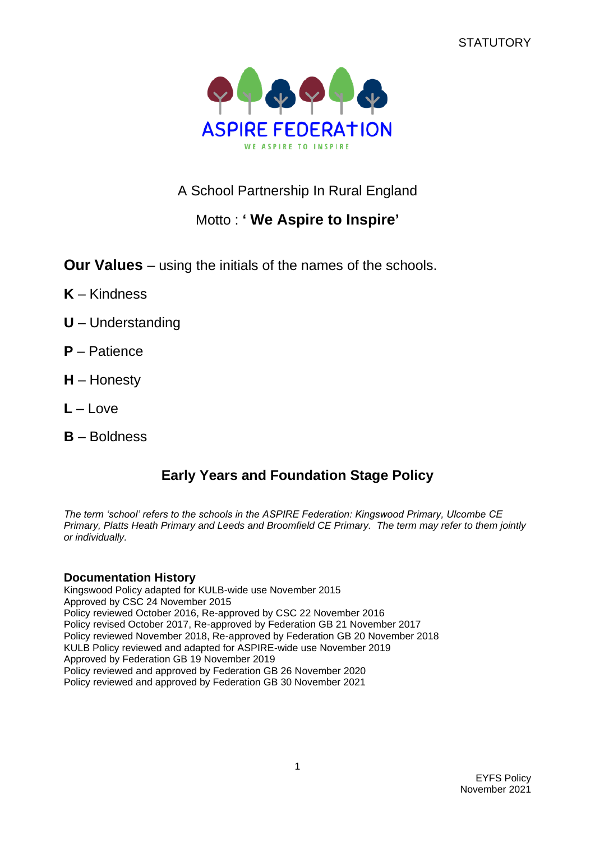**STATUTORY** 



A School Partnership In Rural England

# Motto : **' We Aspire to Inspire'**

**Our Values** – using the initials of the names of the schools.

- **K** Kindness
- **U** Understanding
- **P** Patience
- **H** Honesty
- **L** Love
- **B** Boldness

# **Early Years and Foundation Stage Policy**

*The term 'school' refers to the schools in the ASPIRE Federation: Kingswood Primary, Ulcombe CE Primary, Platts Heath Primary and Leeds and Broomfield CE Primary. The term may refer to them jointly or individually.*

# **Documentation History**

Kingswood Policy adapted for KULB-wide use November 2015 Approved by CSC 24 November 2015 Policy reviewed October 2016, Re-approved by CSC 22 November 2016 Policy revised October 2017, Re-approved by Federation GB 21 November 2017 Policy reviewed November 2018, Re-approved by Federation GB 20 November 2018 KULB Policy reviewed and adapted for ASPIRE-wide use November 2019 Approved by Federation GB 19 November 2019 Policy reviewed and approved by Federation GB 26 November 2020 Policy reviewed and approved by Federation GB 30 November 2021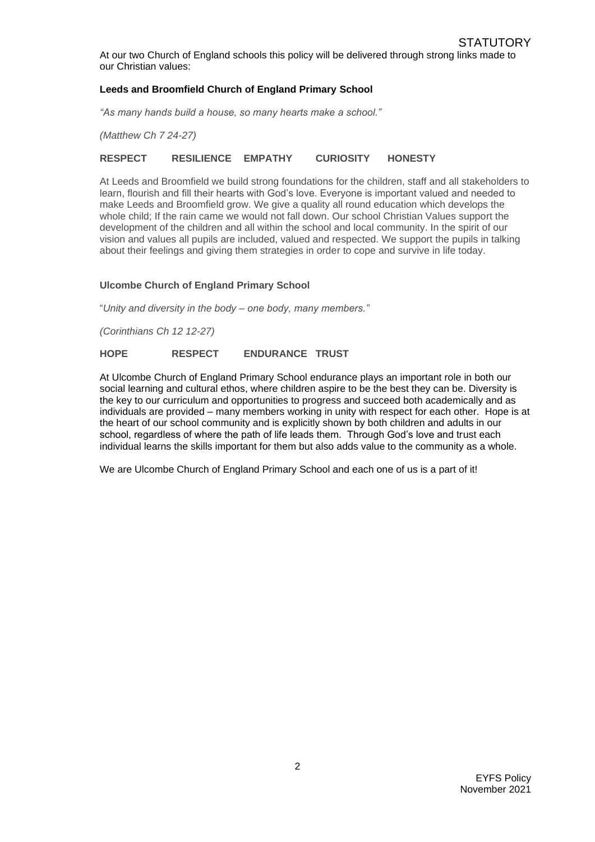At our two Church of England schools this policy will be delivered through strong links made to our Christian values:

### **Leeds and Broomfield Church of England Primary School**

*"As many hands build a house, so many hearts make a school."*

*(Matthew Ch 7 24-27)*

#### **RESPECT RESILIENCE EMPATHY CURIOSITY HONESTY**

At Leeds and Broomfield we build strong foundations for the children, staff and all stakeholders to learn, flourish and fill their hearts with God's love. Everyone is important valued and needed to make Leeds and Broomfield grow. We give a quality all round education which develops the whole child; If the rain came we would not fall down. Our school Christian Values support the development of the children and all within the school and local community. In the spirit of our vision and values all pupils are included, valued and respected. We support the pupils in talking about their feelings and giving them strategies in order to cope and survive in life today.

#### **Ulcombe Church of England Primary School**

"*Unity and diversity in the body – one body, many members."*

*(Corinthians Ch 12 12-27)*

#### **HOPE RESPECT ENDURANCE TRUST**

At Ulcombe Church of England Primary School endurance plays an important role in both our social learning and cultural ethos, where children aspire to be the best they can be. Diversity is the key to our curriculum and opportunities to progress and succeed both academically and as individuals are provided – many members working in unity with respect for each other. Hope is at the heart of our school community and is explicitly shown by both children and adults in our school, regardless of where the path of life leads them. Through God's love and trust each individual learns the skills important for them but also adds value to the community as a whole.

We are Ulcombe Church of England Primary School and each one of us is a part of it!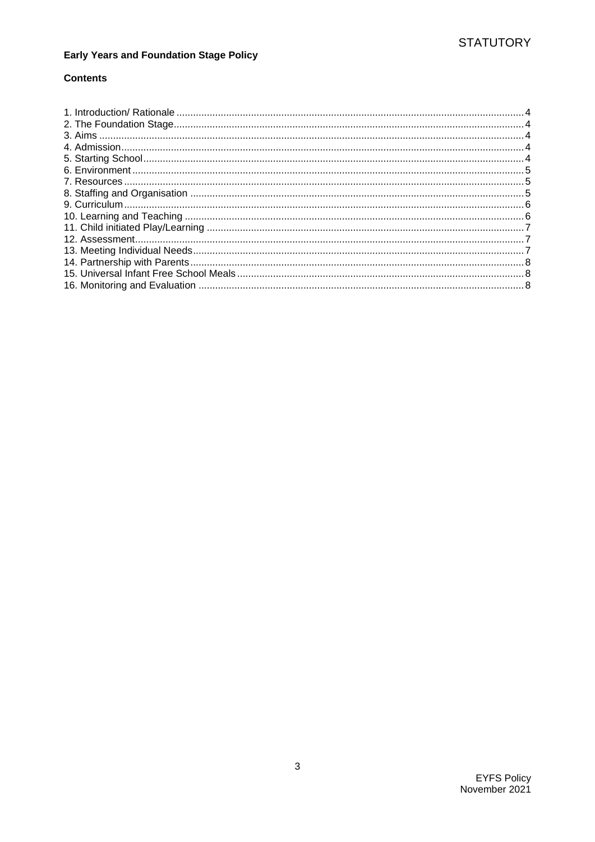# **Early Years and Foundation Stage Policy**

## **Contents**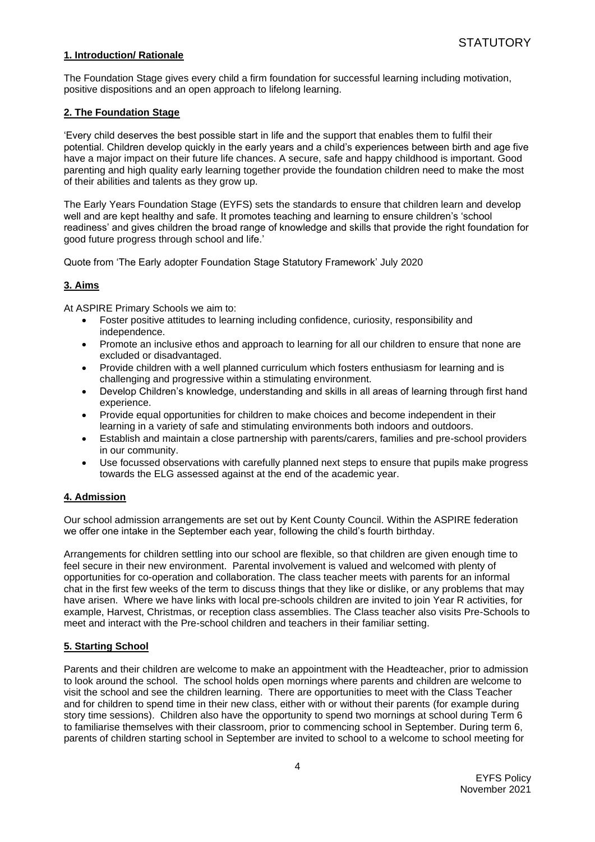#### <span id="page-3-0"></span>**1. Introduction/ Rationale**

The Foundation Stage gives every child a firm foundation for successful learning including motivation, positive dispositions and an open approach to lifelong learning.

#### <span id="page-3-1"></span>**2. The Foundation Stage**

'Every child deserves the best possible start in life and the support that enables them to fulfil their potential. Children develop quickly in the early years and a child's experiences between birth and age five have a major impact on their future life chances. A secure, safe and happy childhood is important. Good parenting and high quality early learning together provide the foundation children need to make the most of their abilities and talents as they grow up.

The Early Years Foundation Stage (EYFS) sets the standards to ensure that children learn and develop well and are kept healthy and safe. It promotes teaching and learning to ensure children's 'school readiness' and gives children the broad range of knowledge and skills that provide the right foundation for good future progress through school and life.'

Quote from 'The Early adopter Foundation Stage Statutory Framework' July 2020

#### <span id="page-3-2"></span>**3. Aims**

At ASPIRE Primary Schools we aim to:

- Foster positive attitudes to learning including confidence, curiosity, responsibility and independence.
- Promote an inclusive ethos and approach to learning for all our children to ensure that none are excluded or disadvantaged.
- Provide children with a well planned curriculum which fosters enthusiasm for learning and is challenging and progressive within a stimulating environment.
- Develop Children's knowledge, understanding and skills in all areas of learning through first hand experience.
- Provide equal opportunities for children to make choices and become independent in their learning in a variety of safe and stimulating environments both indoors and outdoors.
- Establish and maintain a close partnership with parents/carers, families and pre-school providers in our community.
- Use focussed observations with carefully planned next steps to ensure that pupils make progress towards the ELG assessed against at the end of the academic year.

#### <span id="page-3-3"></span>**4. Admission**

Our school admission arrangements are set out by Kent County Council. Within the ASPIRE federation we offer one intake in the September each year, following the child's fourth birthday.

Arrangements for children settling into our school are flexible, so that children are given enough time to feel secure in their new environment. Parental involvement is valued and welcomed with plenty of opportunities for co-operation and collaboration. The class teacher meets with parents for an informal chat in the first few weeks of the term to discuss things that they like or dislike, or any problems that may have arisen. Where we have links with local pre-schools children are invited to join Year R activities, for example, Harvest, Christmas, or reception class assemblies. The Class teacher also visits Pre-Schools to meet and interact with the Pre-school children and teachers in their familiar setting.

#### <span id="page-3-4"></span>**5. Starting School**

Parents and their children are welcome to make an appointment with the Headteacher, prior to admission to look around the school. The school holds open mornings where parents and children are welcome to visit the school and see the children learning. There are opportunities to meet with the Class Teacher and for children to spend time in their new class, either with or without their parents (for example during story time sessions). Children also have the opportunity to spend two mornings at school during Term 6 to familiarise themselves with their classroom, prior to commencing school in September. During term 6, parents of children starting school in September are invited to school to a welcome to school meeting for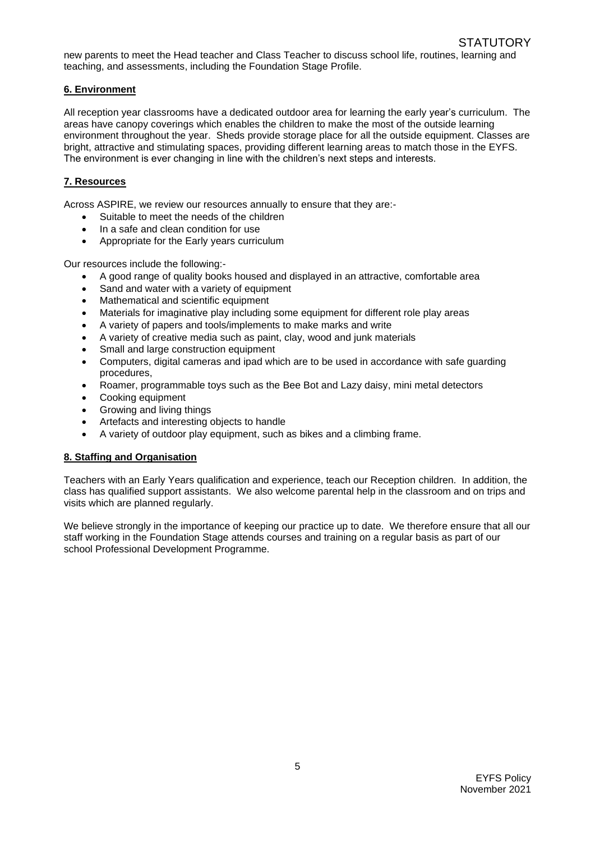new parents to meet the Head teacher and Class Teacher to discuss school life, routines, learning and teaching, and assessments, including the Foundation Stage Profile.

### <span id="page-4-0"></span>**6. Environment**

All reception year classrooms have a dedicated outdoor area for learning the early year's curriculum. The areas have canopy coverings which enables the children to make the most of the outside learning environment throughout the year. Sheds provide storage place for all the outside equipment. Classes are bright, attractive and stimulating spaces, providing different learning areas to match those in the EYFS. The environment is ever changing in line with the children's next steps and interests.

## <span id="page-4-1"></span>**7. Resources**

Across ASPIRE, we review our resources annually to ensure that they are:-

- Suitable to meet the needs of the children
- In a safe and clean condition for use
- Appropriate for the Early years curriculum

Our resources include the following:-

- A good range of quality books housed and displayed in an attractive, comfortable area
- Sand and water with a variety of equipment
- Mathematical and scientific equipment
- Materials for imaginative play including some equipment for different role play areas
- A variety of papers and tools/implements to make marks and write
- A variety of creative media such as paint, clay, wood and junk materials
- Small and large construction equipment
- Computers, digital cameras and ipad which are to be used in accordance with safe guarding procedures,
- Roamer, programmable toys such as the Bee Bot and Lazy daisy, mini metal detectors
- Cooking equipment
- Growing and living things
- Artefacts and interesting objects to handle
- A variety of outdoor play equipment, such as bikes and a climbing frame.

#### <span id="page-4-2"></span>**8. Staffing and Organisation**

Teachers with an Early Years qualification and experience, teach our Reception children. In addition, the class has qualified support assistants. We also welcome parental help in the classroom and on trips and visits which are planned regularly.

We believe strongly in the importance of keeping our practice up to date. We therefore ensure that all our staff working in the Foundation Stage attends courses and training on a regular basis as part of our school Professional Development Programme.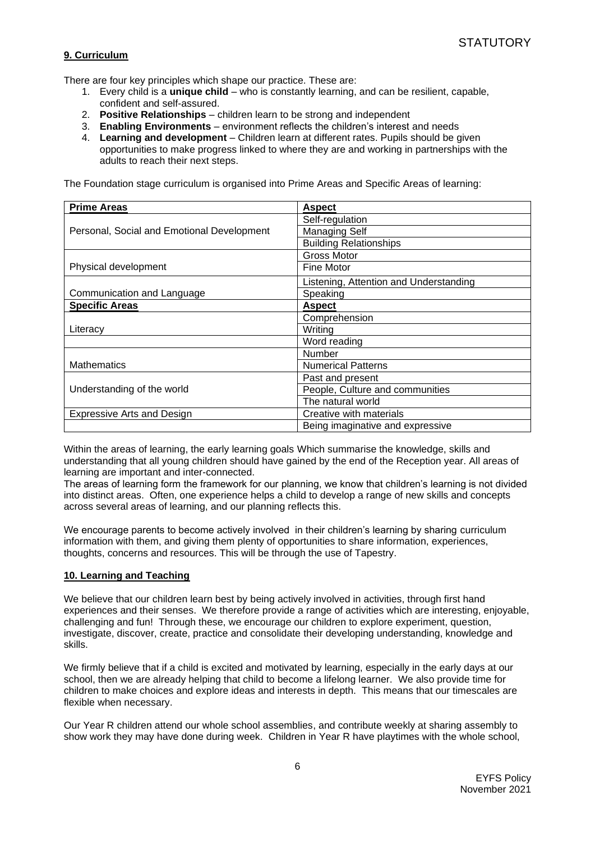## <span id="page-5-0"></span>**9. Curriculum**

There are four key principles which shape our practice. These are:

- 1. Every child is a **unique child** who is constantly learning, and can be resilient, capable, confident and self-assured.
- 2. **Positive Relationships** children learn to be strong and independent
- 3. **Enabling Environments** environment reflects the children's interest and needs
- 4. **Learning and development** Children learn at different rates. Pupils should be given opportunities to make progress linked to where they are and working in partnerships with the adults to reach their next steps.

The Foundation stage curriculum is organised into Prime Areas and Specific Areas of learning:

| <b>Prime Areas</b>                         | <b>Aspect</b>                          |
|--------------------------------------------|----------------------------------------|
| Personal, Social and Emotional Development | Self-regulation                        |
|                                            | Managing Self                          |
|                                            | <b>Building Relationships</b>          |
|                                            | Gross Motor                            |
| Physical development                       | Fine Motor                             |
|                                            | Listening, Attention and Understanding |
| Communication and Language                 | Speaking                               |
| <b>Specific Areas</b>                      | <b>Aspect</b>                          |
| Literacy                                   | Comprehension                          |
|                                            | Writing                                |
|                                            | Word reading                           |
|                                            | <b>Number</b>                          |
| <b>Mathematics</b>                         | <b>Numerical Patterns</b>              |
| Understanding of the world                 | Past and present                       |
|                                            | People, Culture and communities        |
|                                            | The natural world                      |
| <b>Expressive Arts and Design</b>          | Creative with materials                |
|                                            | Being imaginative and expressive       |

Within the areas of learning, the early learning goals Which summarise the knowledge, skills and understanding that all young children should have gained by the end of the Reception year. All areas of learning are important and inter-connected.

The areas of learning form the framework for our planning, we know that children's learning is not divided into distinct areas. Often, one experience helps a child to develop a range of new skills and concepts across several areas of learning, and our planning reflects this.

We encourage parents to become actively involved in their children's learning by sharing curriculum information with them, and giving them plenty of opportunities to share information, experiences, thoughts, concerns and resources. This will be through the use of Tapestry.

#### <span id="page-5-1"></span>**10. Learning and Teaching**

We believe that our children learn best by being actively involved in activities, through first hand experiences and their senses. We therefore provide a range of activities which are interesting, enjoyable, challenging and fun! Through these, we encourage our children to explore experiment, question, investigate, discover, create, practice and consolidate their developing understanding, knowledge and skills.

We firmly believe that if a child is excited and motivated by learning, especially in the early days at our school, then we are already helping that child to become a lifelong learner. We also provide time for children to make choices and explore ideas and interests in depth. This means that our timescales are flexible when necessary.

Our Year R children attend our whole school assemblies, and contribute weekly at sharing assembly to show work they may have done during week. Children in Year R have playtimes with the whole school,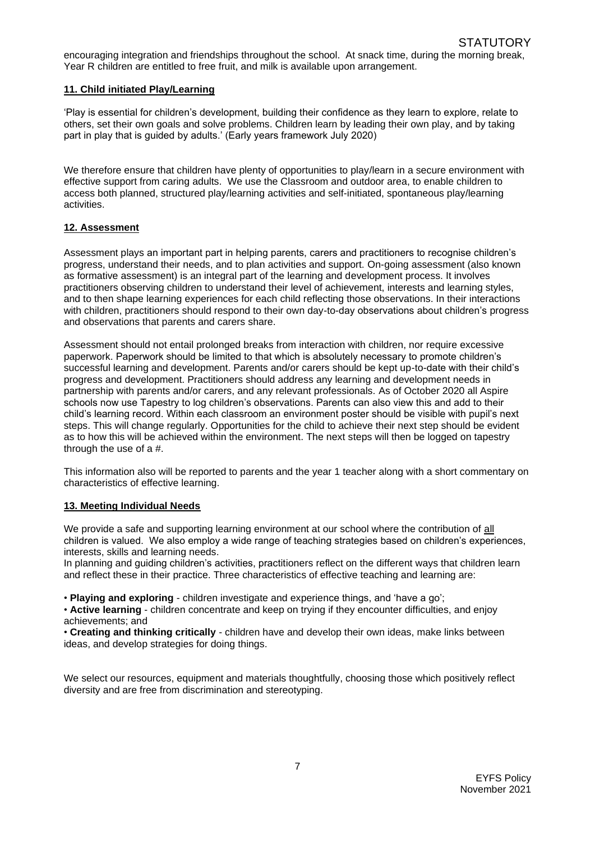encouraging integration and friendships throughout the school. At snack time, during the morning break, Year R children are entitled to free fruit, and milk is available upon arrangement.

#### <span id="page-6-0"></span>**11. Child initiated Play/Learning**

'Play is essential for children's development, building their confidence as they learn to explore, relate to others, set their own goals and solve problems. Children learn by leading their own play, and by taking part in play that is guided by adults.' (Early years framework July 2020)

We therefore ensure that children have plenty of opportunities to play/learn in a secure environment with effective support from caring adults. We use the Classroom and outdoor area, to enable children to access both planned, structured play/learning activities and self-initiated, spontaneous play/learning activities.

#### <span id="page-6-1"></span>**12. Assessment**

Assessment plays an important part in helping parents, carers and practitioners to recognise children's progress, understand their needs, and to plan activities and support. On-going assessment (also known as formative assessment) is an integral part of the learning and development process. It involves practitioners observing children to understand their level of achievement, interests and learning styles, and to then shape learning experiences for each child reflecting those observations. In their interactions with children, practitioners should respond to their own day-to-day observations about children's progress and observations that parents and carers share.

Assessment should not entail prolonged breaks from interaction with children, nor require excessive paperwork. Paperwork should be limited to that which is absolutely necessary to promote children's successful learning and development. Parents and/or carers should be kept up-to-date with their child's progress and development. Practitioners should address any learning and development needs in partnership with parents and/or carers, and any relevant professionals. As of October 2020 all Aspire schools now use Tapestry to log children's observations. Parents can also view this and add to their child's learning record. Within each classroom an environment poster should be visible with pupil's next steps. This will change regularly. Opportunities for the child to achieve their next step should be evident as to how this will be achieved within the environment. The next steps will then be logged on tapestry through the use of a #.

This information also will be reported to parents and the year 1 teacher along with a short commentary on characteristics of effective learning.

#### <span id="page-6-2"></span>**13. Meeting Individual Needs**

We provide a safe and supporting learning environment at our school where the contribution of all children is valued. We also employ a wide range of teaching strategies based on children's experiences, interests, skills and learning needs.

In planning and guiding children's activities, practitioners reflect on the different ways that children learn and reflect these in their practice. Three characteristics of effective teaching and learning are:

• **Playing and exploring** - children investigate and experience things, and 'have a go';

• **Active learning** - children concentrate and keep on trying if they encounter difficulties, and enjoy achievements; and

• **Creating and thinking critically** - children have and develop their own ideas, make links between ideas, and develop strategies for doing things.

<span id="page-6-3"></span>We select our resources, equipment and materials thoughtfully, choosing those which positively reflect diversity and are free from discrimination and stereotyping.